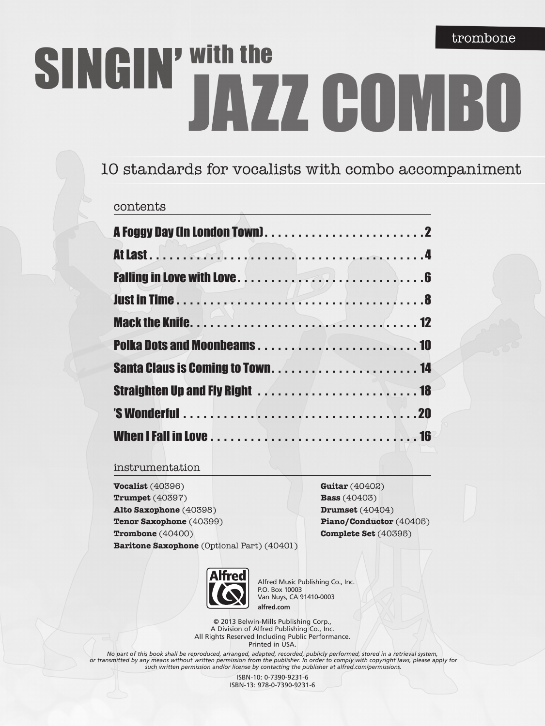# SINGIN' With the JAZZ COMBO

# 10 standards for vocalists with combo accompaniment

### contents

### instrumentation

**Vocalist** (40396) **Trumpet** (40397) **Alto Saxophone** (40398) **Tenor Saxophone** (40399) **Trombone** (40400) **Baritone Saxophone** (Optional Part) (40401)

**Guitar** (40402) **Bass** (40403) **Drumset** (40404) **Piano/Conductor** (40405) **Complete Set** (40395)



Alfred Music Publishing Co., Inc. P.O. Box 10003 Van Nuys, CA 91410-0003 **alfred.com**

© 2013 Belwin-Mills Publishing Corp., A Division of Alfred Publishing Co., Inc. All Rights Reserved Including Public Performance. Printed in USA.

*No part of this book shall be reproduced, arranged, adapted, recorded, publicly performed, stored in a retrieval system, or transmitted by any means without written permission from the publisher. In order to comply with copyright laws, please apply for such written permission and/or license by contacting the publisher at alfred.com/permissions.*

> ISBN-10: 0-7390-9231-6 ISBN-13: 978-0-7390-9231-6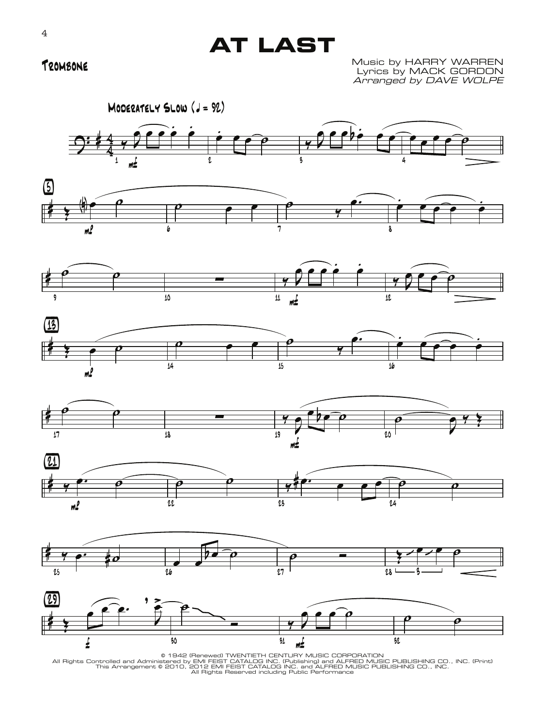# **AT LAST**

## Trombone

Music by HARRY WARREN Lyrics by MACK GORDON Arranged by DAVE WOLPE



© 1942 (Renewed) TWENTIETH CENTURY MUSIC CORPORATION<br>All Rights Controlled and Administered by EMI FEIST CATALOG INC. (Publishar) and ALFRED MUSIC PUBLISHING CO., INC. (Print)<br>This Arrangement © 2010, 2012 EMI FEIST CATALO